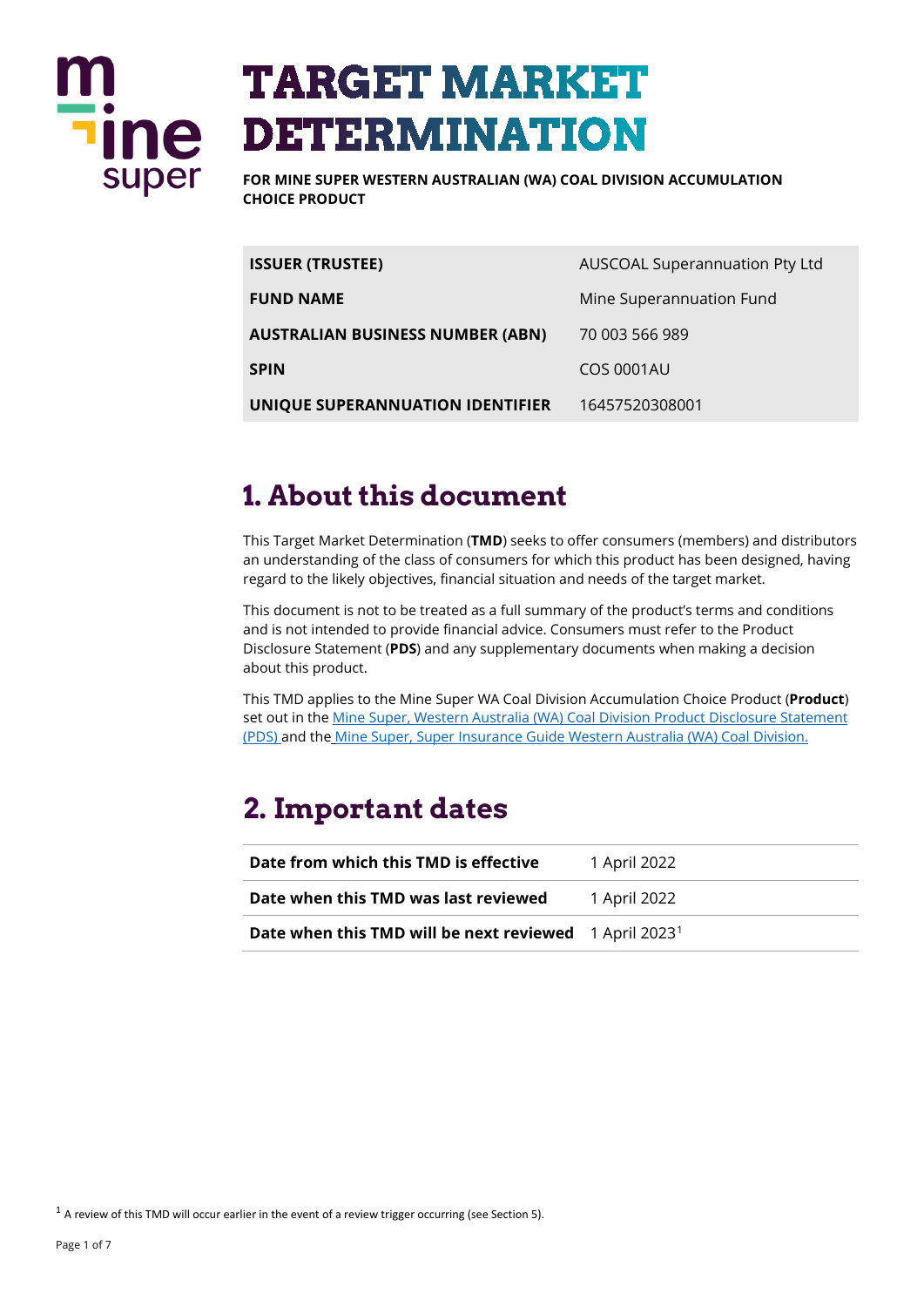# **ine** super

# **TARGET MARKET DETERMINATION**

**FOR MINE SUPER WESTERN AUSTRALIAN (WA) COAL DIVISION ACCUMULATION CHOICE PRODUCT** 

| AUSCOAL Superannuation Pty Ltd |
|--------------------------------|
| Mine Superannuation Fund       |
| 70 003 566 989                 |
| <b>COS 0001AU</b>              |
| 16457520308001                 |
|                                |

## **1. About this document**

This Target Market Determination (**TMD**) seeks to offer consumers (members) and distributors an understanding of the class of consumers for which this product has been designed, having regard to the likely objectives, financial situation and needs of the target market.

This document is not to be treated as a full summary of the product's terms and conditions and is not intended to provide financial advice. Consumers must refer to the Product Disclosure Statement (**PDS**) and any supplementary documents when making a decision about this product.

This TMD applies to the Mine Super WA Coal Division Accumulation Choice Product (**Product**) set out in the Mine Super, Western Australia (WA) [Coal Division Product Disclosure Statement](https://www.mine.com.au/docs/default-source/publications/wa-coal-division-pds.pdf?sfvrsn=baacf63c_30)  [\(PDS\)](https://www.mine.com.au/docs/default-source/publications/wa-coal-division-pds.pdf?sfvrsn=baacf63c_30) and the [Mine Super, Super Insurance Guide Western Australia \(WA\) Coal Division.](https://www.mine.com.au/docs/default-source/publications/wa-coal-insurance-guide.pdf?sfvrsn=bbacf63c_24)

# **2. Important dates**

| Date from which this TMD is effective                                     | 1 April 2022 |
|---------------------------------------------------------------------------|--------------|
| Date when this TMD was last reviewed                                      | 1 April 2022 |
| <b>Date when this TMD will be next reviewed</b> 1 April 2023 <sup>1</sup> |              |

<span id="page-0-0"></span> $1$  A review of this TMD will occur earlier in the event of a review trigger occurring (see Section 5).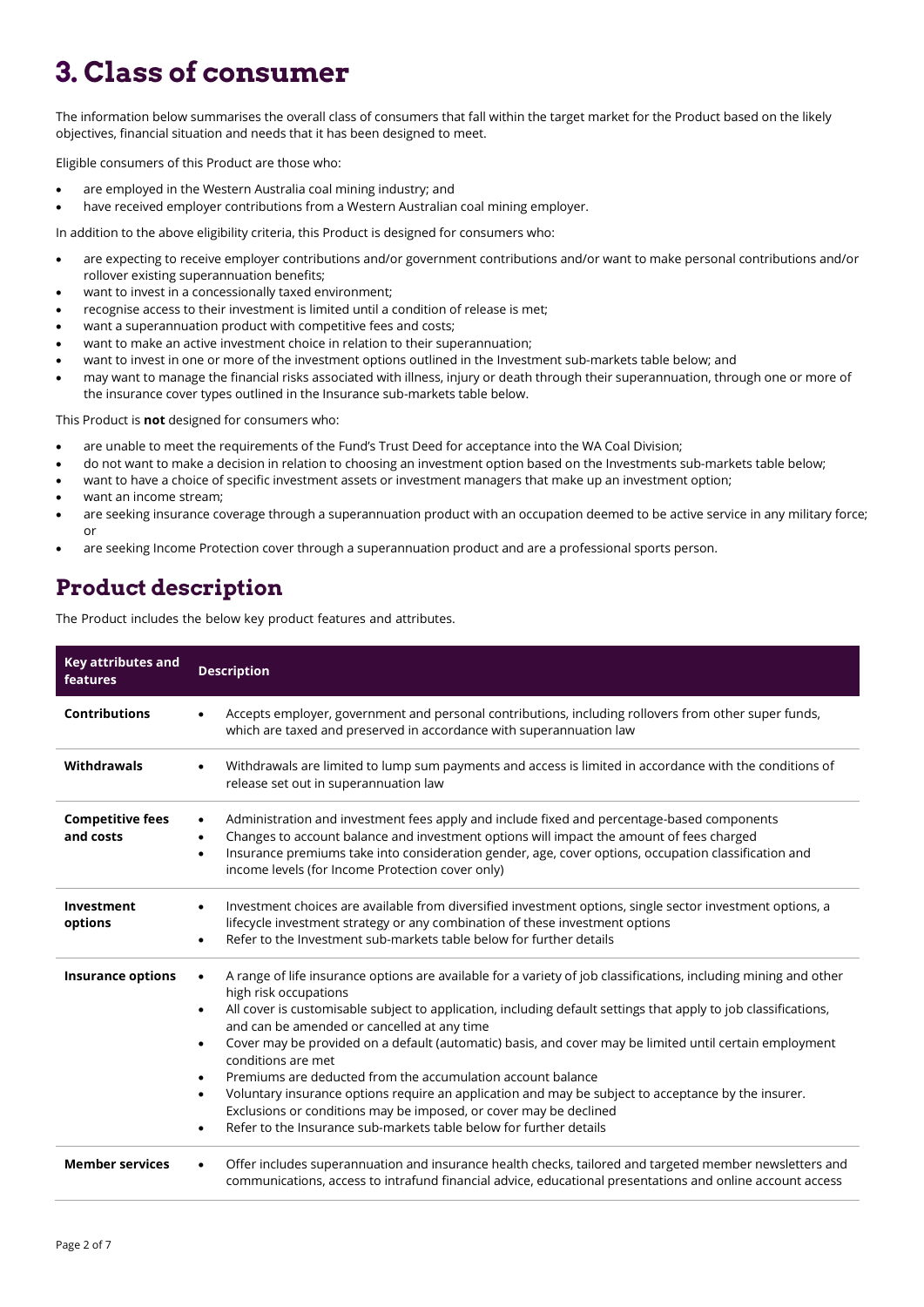# **3. Class of consumer**

The information below summarises the overall class of consumers that fall within the target market for the Product based on the likely objectives, financial situation and needs that it has been designed to meet.

Eligible consumers of this Product are those who:

- are employed in the Western Australia coal mining industry; and
- have received employer contributions from a Western Australian coal mining employer.

In addition to the above eligibility criteria, this Product is designed for consumers who:

- are expecting to receive employer contributions and/or government contributions and/or want to make personal contributions and/or rollover existing superannuation benefits;
- want to invest in a concessionally taxed environment;
- recognise access to their investment is limited until a condition of release is met;
- want a superannuation product with competitive fees and costs;
- want to make an active investment choice in relation to their superannuation;
- want to invest in one or more of the investment options outlined in the Investment sub-markets table below; and
- may want to manage the financial risks associated with illness, injury or death through their superannuation, through one or more of the insurance cover types outlined in the Insurance sub-markets table below.

This Product is **not** designed for consumers who:

- are unable to meet the requirements of the Fund's Trust Deed for acceptance into the WA Coal Division;
- do not want to make a decision in relation to choosing an investment option based on the Investments sub-markets table below;
- want to have a choice of specific investment assets or investment managers that make up an investment option;
- want an income stream;
- are seeking insurance coverage through a superannuation product with an occupation deemed to be active service in any military force; or
- are seeking Income Protection cover through a superannuation product and are a professional sports person.

### **Product description**

The Product includes the below key product features and attributes.

| <b>Key attributes and</b><br>features | <b>Description</b>                                                                                                                                                                                                                                                                                                                                                                                                                                                                                                                                                                                                                                                                                                                                                                                                                          |  |
|---------------------------------------|---------------------------------------------------------------------------------------------------------------------------------------------------------------------------------------------------------------------------------------------------------------------------------------------------------------------------------------------------------------------------------------------------------------------------------------------------------------------------------------------------------------------------------------------------------------------------------------------------------------------------------------------------------------------------------------------------------------------------------------------------------------------------------------------------------------------------------------------|--|
| <b>Contributions</b>                  | Accepts employer, government and personal contributions, including rollovers from other super funds,<br>which are taxed and preserved in accordance with superannuation law                                                                                                                                                                                                                                                                                                                                                                                                                                                                                                                                                                                                                                                                 |  |
| Withdrawals                           | Withdrawals are limited to lump sum payments and access is limited in accordance with the conditions of<br>$\bullet$<br>release set out in superannuation law                                                                                                                                                                                                                                                                                                                                                                                                                                                                                                                                                                                                                                                                               |  |
| <b>Competitive fees</b><br>and costs  | Administration and investment fees apply and include fixed and percentage-based components<br>$\bullet$<br>Changes to account balance and investment options will impact the amount of fees charged<br>$\bullet$<br>Insurance premiums take into consideration gender, age, cover options, occupation classification and<br>$\bullet$<br>income levels (for Income Protection cover only)                                                                                                                                                                                                                                                                                                                                                                                                                                                   |  |
| Investment<br>options                 | Investment choices are available from diversified investment options, single sector investment options, a<br>$\bullet$<br>lifecycle investment strategy or any combination of these investment options<br>Refer to the Investment sub-markets table below for further details<br>$\bullet$                                                                                                                                                                                                                                                                                                                                                                                                                                                                                                                                                  |  |
| <b>Insurance options</b>              | A range of life insurance options are available for a variety of job classifications, including mining and other<br>$\bullet$<br>high risk occupations<br>All cover is customisable subject to application, including default settings that apply to job classifications,<br>$\bullet$<br>and can be amended or cancelled at any time<br>Cover may be provided on a default (automatic) basis, and cover may be limited until certain employment<br>$\bullet$<br>conditions are met<br>Premiums are deducted from the accumulation account balance<br>$\bullet$<br>Voluntary insurance options require an application and may be subject to acceptance by the insurer.<br>$\bullet$<br>Exclusions or conditions may be imposed, or cover may be declined<br>Refer to the Insurance sub-markets table below for further details<br>$\bullet$ |  |
| <b>Member services</b>                | Offer includes superannuation and insurance health checks, tailored and targeted member newsletters and<br>$\bullet$<br>communications, access to intrafund financial advice, educational presentations and online account access                                                                                                                                                                                                                                                                                                                                                                                                                                                                                                                                                                                                           |  |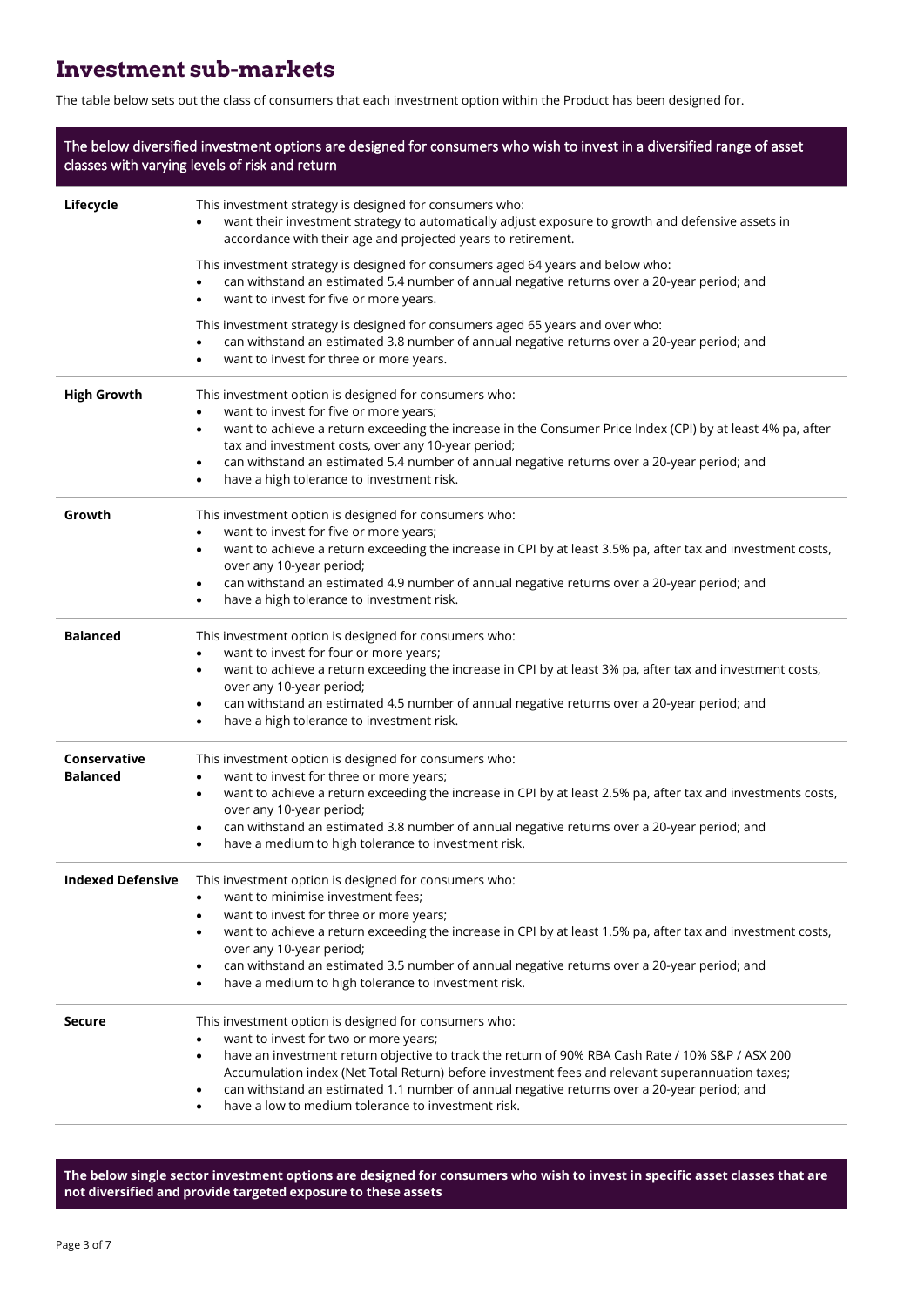### **Investment sub-markets**

The table below sets out the class of consumers that each investment option within the Product has been designed for.

| The below diversified investment options are designed for consumers who wish to invest in a diversified range of asset<br>classes with varying levels of risk and return |                                                                                                                                                                                                                                                                                                                                                                                                                                                                                                                |  |
|--------------------------------------------------------------------------------------------------------------------------------------------------------------------------|----------------------------------------------------------------------------------------------------------------------------------------------------------------------------------------------------------------------------------------------------------------------------------------------------------------------------------------------------------------------------------------------------------------------------------------------------------------------------------------------------------------|--|
| Lifecycle                                                                                                                                                                | This investment strategy is designed for consumers who:<br>want their investment strategy to automatically adjust exposure to growth and defensive assets in<br>accordance with their age and projected years to retirement.                                                                                                                                                                                                                                                                                   |  |
|                                                                                                                                                                          | This investment strategy is designed for consumers aged 64 years and below who:<br>can withstand an estimated 5.4 number of annual negative returns over a 20-year period; and<br>want to invest for five or more years.                                                                                                                                                                                                                                                                                       |  |
|                                                                                                                                                                          | This investment strategy is designed for consumers aged 65 years and over who:<br>can withstand an estimated 3.8 number of annual negative returns over a 20-year period; and<br>want to invest for three or more years.<br>$\bullet$                                                                                                                                                                                                                                                                          |  |
| <b>High Growth</b>                                                                                                                                                       | This investment option is designed for consumers who:<br>want to invest for five or more years;<br>٠<br>want to achieve a return exceeding the increase in the Consumer Price Index (CPI) by at least 4% pa, after<br>$\bullet$<br>tax and investment costs, over any 10-year period;<br>can withstand an estimated 5.4 number of annual negative returns over a 20-year period; and<br>$\bullet$<br>have a high tolerance to investment risk.<br>$\bullet$                                                    |  |
| Growth                                                                                                                                                                   | This investment option is designed for consumers who:<br>want to invest for five or more years;<br>$\bullet$<br>want to achieve a return exceeding the increase in CPI by at least 3.5% pa, after tax and investment costs,<br>$\bullet$<br>over any 10-year period;<br>can withstand an estimated 4.9 number of annual negative returns over a 20-year period; and<br>$\bullet$<br>have a high tolerance to investment risk.<br>$\bullet$                                                                     |  |
| <b>Balanced</b>                                                                                                                                                          | This investment option is designed for consumers who:<br>want to invest for four or more years;<br>want to achieve a return exceeding the increase in CPI by at least 3% pa, after tax and investment costs,<br>$\bullet$<br>over any 10-year period;<br>can withstand an estimated 4.5 number of annual negative returns over a 20-year period; and<br>$\bullet$<br>have a high tolerance to investment risk.<br>$\bullet$                                                                                    |  |
| Conservative<br><b>Balanced</b>                                                                                                                                          | This investment option is designed for consumers who:<br>want to invest for three or more years;<br>$\bullet$<br>want to achieve a return exceeding the increase in CPI by at least 2.5% pa, after tax and investments costs,<br>over any 10-year period;<br>can withstand an estimated 3.8 number of annual negative returns over a 20-year period; and<br>have a medium to high tolerance to investment risk.<br>$\bullet$                                                                                   |  |
| <b>Indexed Defensive</b>                                                                                                                                                 | This investment option is designed for consumers who:<br>want to minimise investment fees;<br>want to invest for three or more years;<br>$\bullet$<br>want to achieve a return exceeding the increase in CPI by at least 1.5% pa, after tax and investment costs,<br>$\bullet$<br>over any 10-year period;<br>can withstand an estimated 3.5 number of annual negative returns over a 20-year period; and<br>$\bullet$<br>have a medium to high tolerance to investment risk.                                  |  |
| <b>Secure</b>                                                                                                                                                            | This investment option is designed for consumers who:<br>want to invest for two or more years;<br>$\bullet$<br>have an investment return objective to track the return of 90% RBA Cash Rate / 10% S&P / ASX 200<br>$\bullet$<br>Accumulation index (Net Total Return) before investment fees and relevant superannuation taxes;<br>can withstand an estimated 1.1 number of annual negative returns over a 20-year period; and<br>$\bullet$<br>have a low to medium tolerance to investment risk.<br>$\bullet$ |  |

**The below single sector investment options are designed for consumers who wish to invest in specific asset classes that are not diversified and provide targeted exposure to these assets**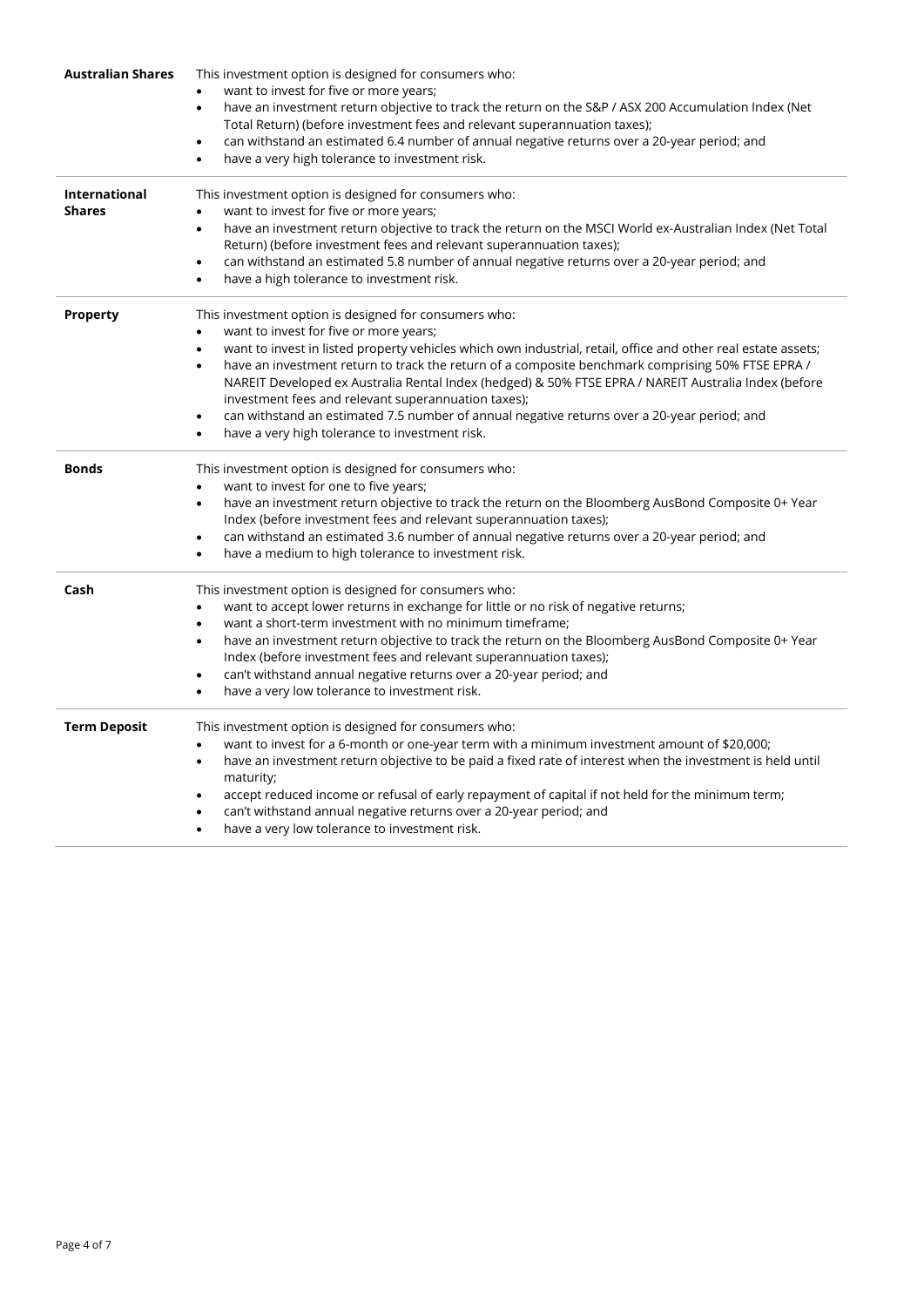| <b>Australian Shares</b>       | This investment option is designed for consumers who:<br>want to invest for five or more years;<br>have an investment return objective to track the return on the S&P / ASX 200 Accumulation Index (Net<br>$\bullet$<br>Total Return) (before investment fees and relevant superannuation taxes);<br>can withstand an estimated 6.4 number of annual negative returns over a 20-year period; and<br>$\bullet$<br>have a very high tolerance to investment risk.                                                                                                                                                                                                                                |
|--------------------------------|------------------------------------------------------------------------------------------------------------------------------------------------------------------------------------------------------------------------------------------------------------------------------------------------------------------------------------------------------------------------------------------------------------------------------------------------------------------------------------------------------------------------------------------------------------------------------------------------------------------------------------------------------------------------------------------------|
| International<br><b>Shares</b> | This investment option is designed for consumers who:<br>want to invest for five or more years;<br>٠<br>have an investment return objective to track the return on the MSCI World ex-Australian Index (Net Total<br>$\bullet$<br>Return) (before investment fees and relevant superannuation taxes);<br>can withstand an estimated 5.8 number of annual negative returns over a 20-year period; and<br>$\bullet$<br>have a high tolerance to investment risk.<br>$\bullet$                                                                                                                                                                                                                     |
| Property                       | This investment option is designed for consumers who:<br>want to invest for five or more years;<br>$\bullet$<br>want to invest in listed property vehicles which own industrial, retail, office and other real estate assets;<br>$\bullet$<br>have an investment return to track the return of a composite benchmark comprising 50% FTSE EPRA /<br>$\bullet$<br>NAREIT Developed ex Australia Rental Index (hedged) & 50% FTSE EPRA / NAREIT Australia Index (before<br>investment fees and relevant superannuation taxes);<br>can withstand an estimated 7.5 number of annual negative returns over a 20-year period; and<br>٠<br>have a very high tolerance to investment risk.<br>$\bullet$ |
| <b>Bonds</b>                   | This investment option is designed for consumers who:<br>want to invest for one to five years;<br>have an investment return objective to track the return on the Bloomberg AusBond Composite 0+ Year<br>$\bullet$<br>Index (before investment fees and relevant superannuation taxes);<br>can withstand an estimated 3.6 number of annual negative returns over a 20-year period; and<br>$\bullet$<br>have a medium to high tolerance to investment risk.<br>$\bullet$                                                                                                                                                                                                                         |
| Cash                           | This investment option is designed for consumers who:<br>want to accept lower returns in exchange for little or no risk of negative returns;<br>$\bullet$<br>want a short-term investment with no minimum timeframe;<br>$\bullet$<br>have an investment return objective to track the return on the Bloomberg AusBond Composite 0+ Year<br>$\bullet$<br>Index (before investment fees and relevant superannuation taxes);<br>can't withstand annual negative returns over a 20-year period; and<br>$\bullet$<br>have a very low tolerance to investment risk.<br>$\bullet$                                                                                                                     |
| <b>Term Deposit</b>            | This investment option is designed for consumers who:<br>want to invest for a 6-month or one-year term with a minimum investment amount of \$20,000;<br>$\bullet$<br>have an investment return objective to be paid a fixed rate of interest when the investment is held until<br>$\bullet$<br>maturity;<br>accept reduced income or refusal of early repayment of capital if not held for the minimum term;<br>$\bullet$<br>can't withstand annual negative returns over a 20-year period; and<br>have a very low tolerance to investment risk.                                                                                                                                               |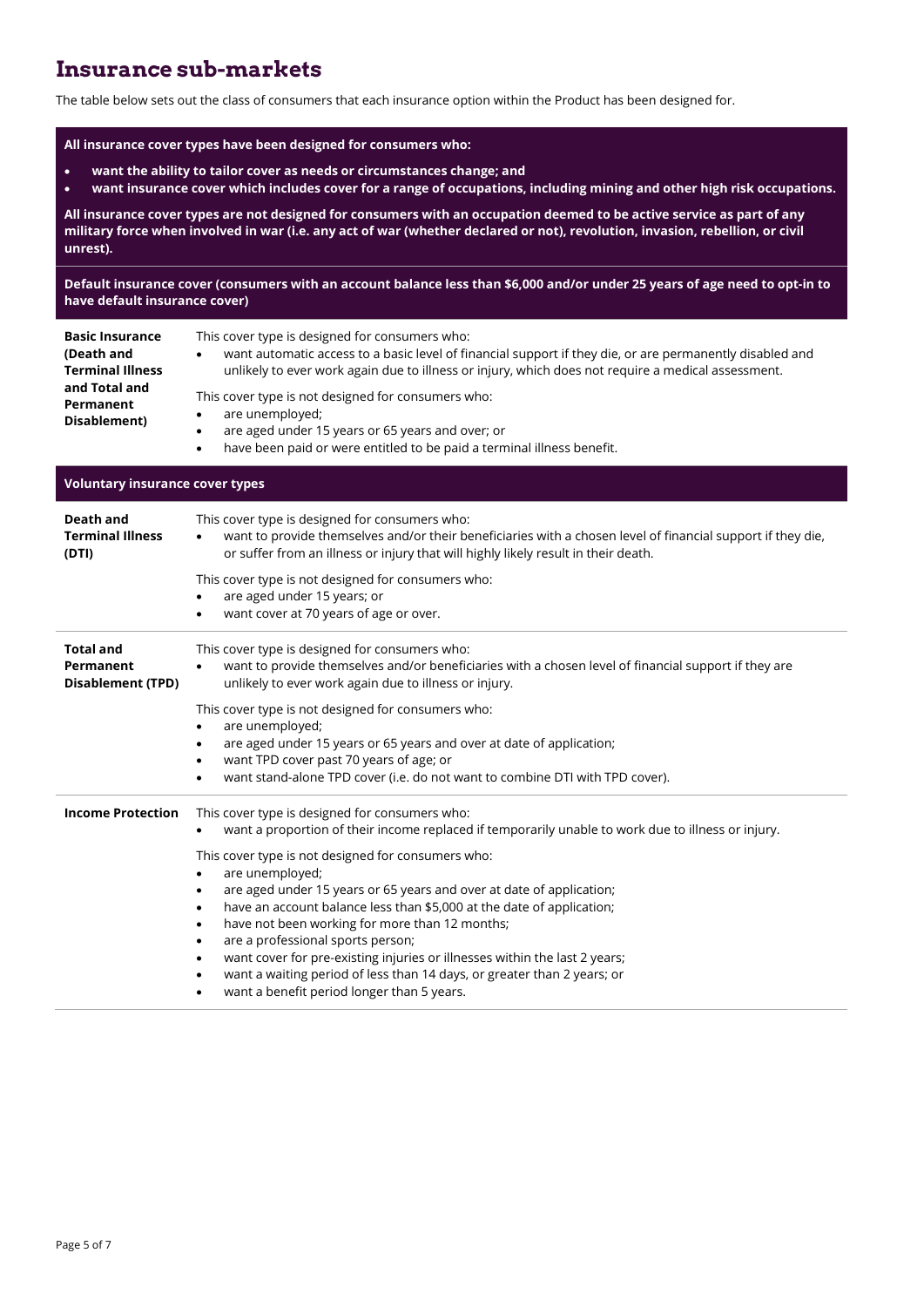### **Insurance sub-markets**

The table below sets out the class of consumers that each insurance option within the Product has been designed for.

#### **All insurance cover types have been designed for consumers who:**

- **want the ability to tailor cover as needs or circumstances change; and**
- **want insurance cover which includes cover for a range of occupations, including mining and other high risk occupations.**

**All insurance cover types are not designed for consumers with an occupation deemed to be active service as part of any military force when involved in war (i.e. any act of war (whether declared or not), revolution, invasion, rebellion, or civil unrest).**

**Default insurance cover (consumers with an account balance less than \$6,000 and/or under 25 years of age need to opt-in to have default insurance cover)**

| <b>Basic Insurance</b><br>(Death and<br><b>Terminal Illness</b><br>and Total and<br>Permanent<br>Disablement) | This cover type is designed for consumers who:<br>want automatic access to a basic level of financial support if they die, or are permanently disabled and<br>unlikely to ever work again due to illness or injury, which does not require a medical assessment.<br>This cover type is not designed for consumers who:<br>are unemployed;<br>$\bullet$<br>are aged under 15 years or 65 years and over; or<br>٠<br>have been paid or were entitled to be paid a terminal illness benefit.<br>٠                                                                                                                                                                                                                                                                               |  |
|---------------------------------------------------------------------------------------------------------------|------------------------------------------------------------------------------------------------------------------------------------------------------------------------------------------------------------------------------------------------------------------------------------------------------------------------------------------------------------------------------------------------------------------------------------------------------------------------------------------------------------------------------------------------------------------------------------------------------------------------------------------------------------------------------------------------------------------------------------------------------------------------------|--|
| <b>Voluntary insurance cover types</b>                                                                        |                                                                                                                                                                                                                                                                                                                                                                                                                                                                                                                                                                                                                                                                                                                                                                              |  |
| Death and<br><b>Terminal Illness</b><br>(DTI)                                                                 | This cover type is designed for consumers who:<br>want to provide themselves and/or their beneficiaries with a chosen level of financial support if they die,<br>$\bullet$<br>or suffer from an illness or injury that will highly likely result in their death.<br>This cover type is not designed for consumers who:<br>are aged under 15 years; or<br>want cover at 70 years of age or over.                                                                                                                                                                                                                                                                                                                                                                              |  |
| <b>Total and</b><br>Permanent<br><b>Disablement (TPD)</b>                                                     | This cover type is designed for consumers who:<br>want to provide themselves and/or beneficiaries with a chosen level of financial support if they are<br>$\bullet$<br>unlikely to ever work again due to illness or injury.<br>This cover type is not designed for consumers who:<br>are unemployed;<br>$\bullet$<br>are aged under 15 years or 65 years and over at date of application;<br>$\bullet$<br>want TPD cover past 70 years of age; or<br>$\bullet$<br>want stand-alone TPD cover (i.e. do not want to combine DTI with TPD cover).<br>$\bullet$                                                                                                                                                                                                                 |  |
| <b>Income Protection</b>                                                                                      | This cover type is designed for consumers who:<br>want a proportion of their income replaced if temporarily unable to work due to illness or injury.<br>$\bullet$<br>This cover type is not designed for consumers who:<br>are unemployed;<br>$\bullet$<br>are aged under 15 years or 65 years and over at date of application;<br>$\bullet$<br>have an account balance less than \$5,000 at the date of application;<br>$\bullet$<br>have not been working for more than 12 months;<br>$\bullet$<br>are a professional sports person;<br>٠<br>want cover for pre-existing injuries or illnesses within the last 2 years;<br>$\bullet$<br>want a waiting period of less than 14 days, or greater than 2 years; or<br>$\bullet$<br>want a benefit period longer than 5 years. |  |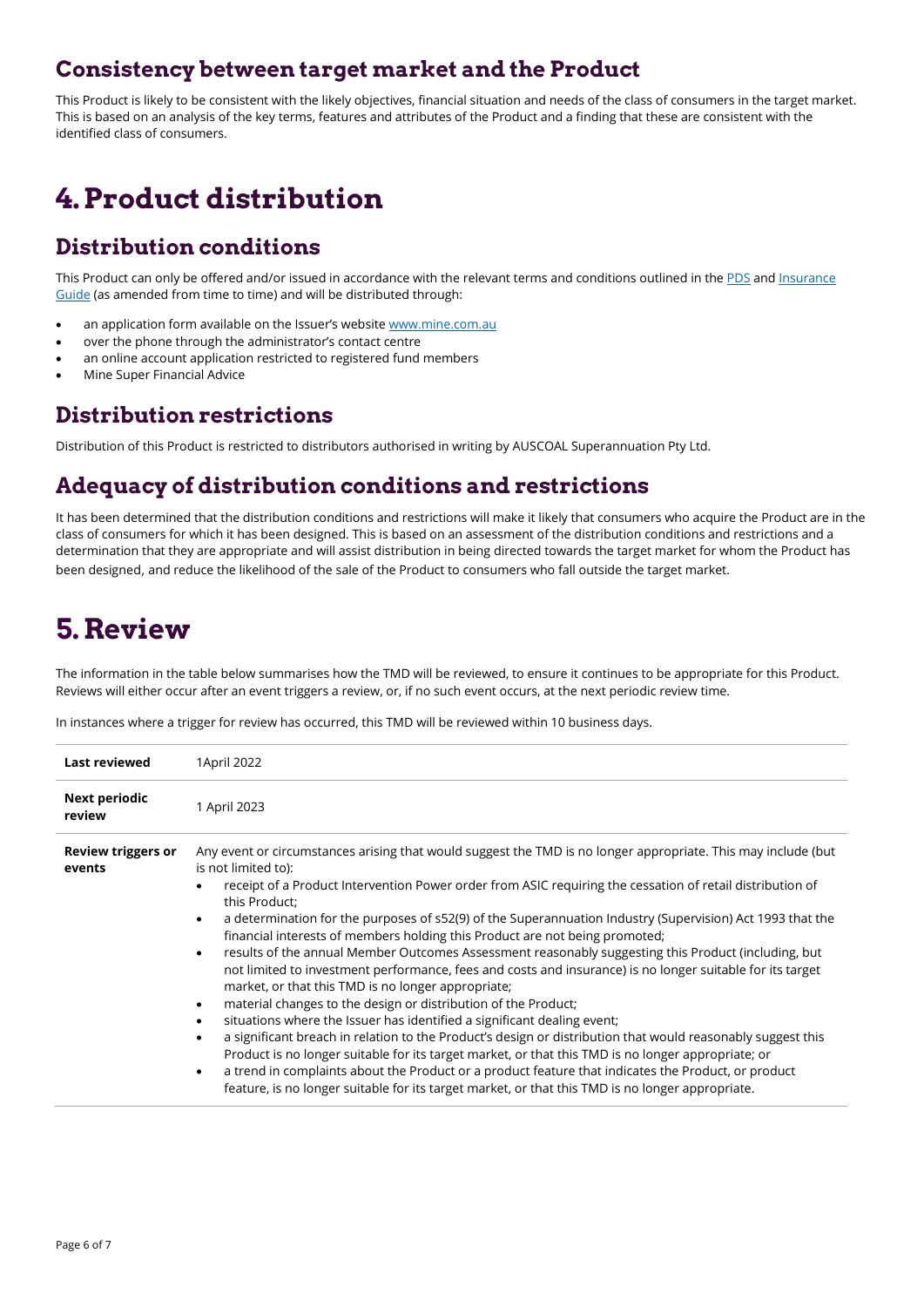### **Consistency between target market and the Product**

This Product is likely to be consistent with the likely objectives, financial situation and needs of the class of consumers in the target market. This is based on an analysis of the key terms, features and attributes of the Product and a finding that these are consistent with the identified class of consumers.

# **4.Product distribution**

### **Distribution conditions**

This Product can only be offered and/or issued in accordance with the relevant terms and conditions outlined in the [PDS](https://www.mine.com.au/docs/default-source/publications/wa-coal-plus-info-sheets.pdf?sfvrsn=9b89f63c_42) and [Insurance](https://www.mine.com.au/docs/default-source/publications/wa-coal-insurance-guide.pdf?sfvrsn=bbacf63c_24) [Guide](https://www.mine.com.au/docs/default-source/publications/wa-coal-insurance-guide.pdf?sfvrsn=bbacf63c_24) (as amended from time to time) and will be distributed through:

- an application form available on the Issuer's website [www.mine.com.au](http://www.mine.com.au/)
- over the phone through the administrator's contact centre
- an online account application restricted to registered fund members
- Mine Super Financial Advice

### **Distribution restrictions**

Distribution of this Product is restricted to distributors authorised in writing by AUSCOAL Superannuation Pty Ltd.

### **Adequacy of distribution conditions and restrictions**

It has been determined that the distribution conditions and restrictions will make it likely that consumers who acquire the Product are in the class of consumers for which it has been designed. This is based on an assessment of the distribution conditions and restrictions and a determination that they are appropriate and will assist distribution in being directed towards the target market for whom the Product has been designed, and reduce the likelihood of the sale of the Product to consumers who fall outside the target market.

# **5.Review**

The information in the table below summarises how the TMD will be reviewed, to ensure it continues to be appropriate for this Product. Reviews will either occur after an event triggers a review, or, if no such event occurs, at the next periodic review time.

In instances where a trigger for review has occurred, this TMD will be reviewed within 10 business days.

| <b>Last reviewed</b>                | 1April 2022                                                                                                                                                                                                                   |
|-------------------------------------|-------------------------------------------------------------------------------------------------------------------------------------------------------------------------------------------------------------------------------|
| <b>Next periodic</b><br>review      | 1 April 2023                                                                                                                                                                                                                  |
| <b>Review triggers or</b><br>events | Any event or circumstances arising that would suggest the TMD is no longer appropriate. This may include (but<br>is not limited to):                                                                                          |
|                                     | receipt of a Product Intervention Power order from ASIC requiring the cessation of retail distribution of<br>٠<br>this Product;                                                                                               |
|                                     | a determination for the purposes of s52(9) of the Superannuation Industry (Supervision) Act 1993 that the<br>$\bullet$<br>financial interests of members holding this Product are not being promoted;                         |
|                                     | results of the annual Member Outcomes Assessment reasonably suggesting this Product (including, but<br>$\bullet$<br>not limited to investment performance, fees and costs and insurance) is no longer suitable for its target |
|                                     | market, or that this TMD is no longer appropriate;<br>material changes to the design or distribution of the Product;<br>٠                                                                                                     |
|                                     | situations where the Issuer has identified a significant dealing event;<br>٠                                                                                                                                                  |
|                                     | a significant breach in relation to the Product's design or distribution that would reasonably suggest this<br>$\bullet$                                                                                                      |
|                                     | Product is no longer suitable for its target market, or that this TMD is no longer appropriate; or                                                                                                                            |
|                                     | a trend in complaints about the Product or a product feature that indicates the Product, or product<br>$\bullet$                                                                                                              |
|                                     | feature, is no longer suitable for its target market, or that this TMD is no longer appropriate.                                                                                                                              |